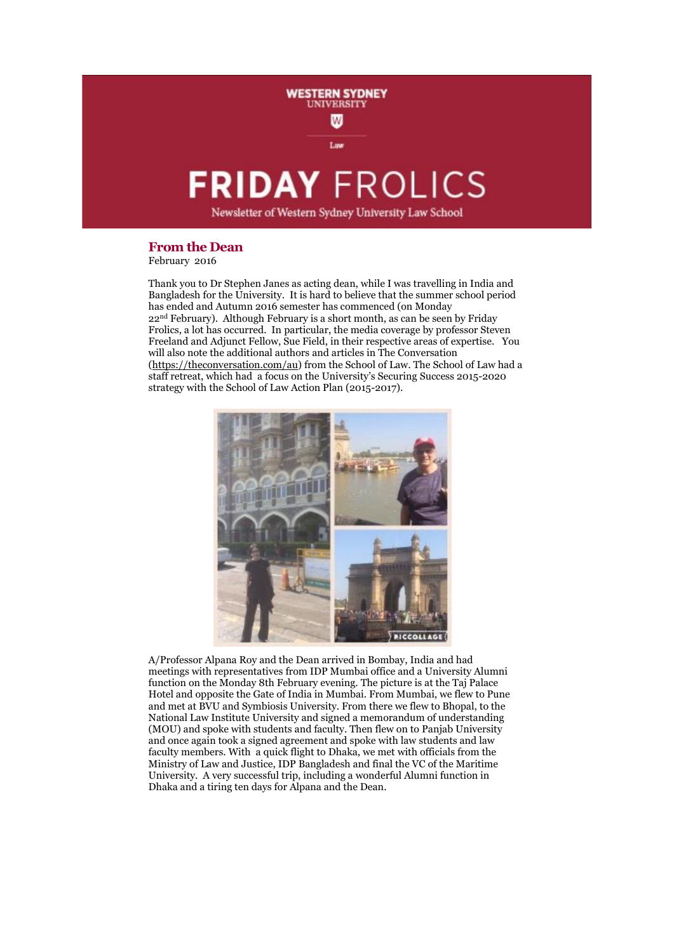# **FRIDAY FROLICS**

Law

**WESTERN SYDNEY NIVERSITY** W

Newsletter of Western Sydney University Law School

# **From the Dean**

February 2016

Thank you to Dr Stephen Janes as acting dean, while I was travelling in India and Bangladesh for the University. It is hard to believe that the summer school period has ended and Autumn 2016 semester has commenced (on Monday 22nd February). Although February is a short month, as can be seen by Friday Frolics, a lot has occurred. In particular, the media coverage by professor Steven Freeland and Adjunct Fellow, Sue Field, in their respective areas of expertise. You will also note the additional authors and articles in The Conversation [\(https://theconversation.com/au\)](https://theconversation.com/au) from the School of Law. The School of Law had a staff retreat, which had a focus on the University's Securing Success 2015-2020 strategy with the School of Law Action Plan (2015-2017).



A/Professor Alpana Roy and the Dean arrived in Bombay, India and had meetings with representatives from IDP Mumbai office and a University Alumni function on the Monday 8th February evening. The picture is at the Taj Palace Hotel and opposite the Gate of India in Mumbai. From Mumbai, we flew to Pune and met at BVU and Symbiosis University. From there we flew to Bhopal, to the National Law Institute University and signed a memorandum of understanding (MOU) and spoke with students and faculty. Then flew on to Panjab University and once again took a signed agreement and spoke with law students and law faculty members. With a quick flight to Dhaka, we met with officials from the Ministry of Law and Justice, IDP Bangladesh and final the VC of the Maritime University. A very successful trip, including a wonderful Alumni function in Dhaka and a tiring ten days for Alpana and the Dean.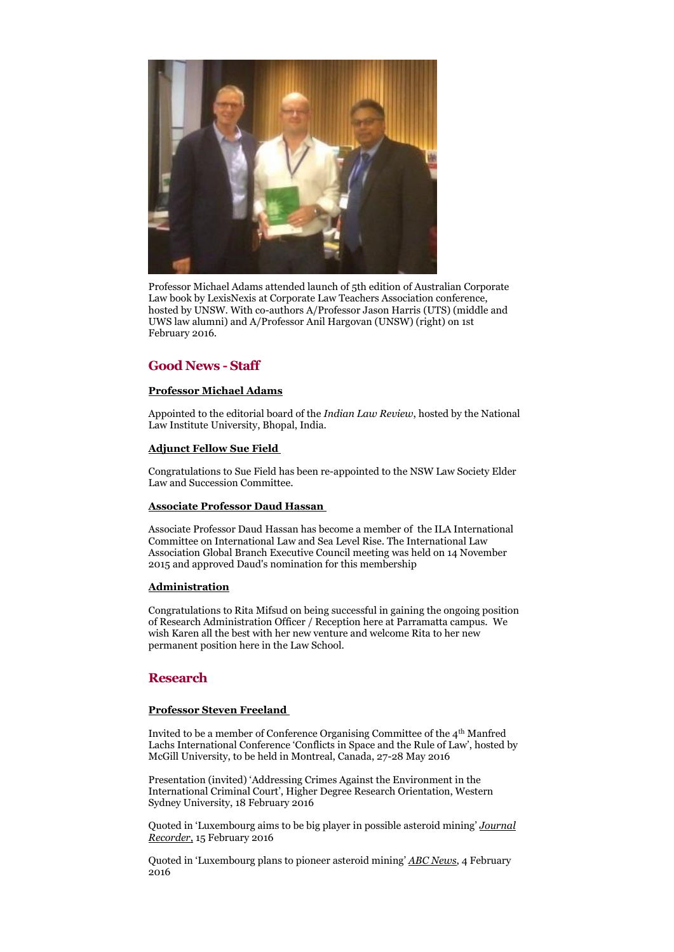

Professor Michael Adams attended launch of 5th edition of Australian Corporate Law book by LexisNexis at Corporate Law Teachers Association conference, hosted by UNSW. With co-authors A/Professor Jason Harris (UTS) (middle and UWS law alumni) and A/Professor Anil Hargovan (UNSW) (right) on 1st February 2016.

# **Good News - Staff**

# **Professor Michael Adams**

Appointed to the editorial board of the *Indian Law Review*, hosted by the National Law Institute University, Bhopal, India.

## **Adjunct Fellow Sue Field**

Congratulations to Sue Field has been re-appointed to the NSW Law Society Elder Law and Succession Committee.

#### **Associate Professor Daud Hassan**

Associate Professor Daud Hassan has become a member of the ILA International Committee on International Law and Sea Level Rise. The International Law Association Global Branch Executive Council meeting was held on 14 November 2015 and approved Daud's nomination for this membership

#### **Administration**

Congratulations to Rita Mifsud on being successful in gaining the ongoing position of Research Administration Officer / Reception here at Parramatta campus. We wish Karen all the best with her new venture and welcome Rita to her new permanent position here in the Law School.

## **Research**

#### **Professor Steven Freeland**

Invited to be a member of Conference Organising Committee of the 4th Manfred Lachs International Conference 'Conflicts in Space and the Rule of Law', hosted by McGill University, to be held in Montreal, Canada, 27-28 May 2016

Presentation (invited) 'Addressing Crimes Against the Environment in the International Criminal Court', Higher Degree Research Orientation, Western Sydney University, 18 February 2016

Quoted in 'Luxembourg aims to be big player in possible asteroid mining' *[Journal](http://journalrecorder.com/luxembourg-aims-to-be-big-player-in-possible-asteroid-mining-342135/)  [Recorder](http://journalrecorder.com/luxembourg-aims-to-be-big-player-in-possible-asteroid-mining-342135/)*, 15 February 2016

Quoted in 'Luxembourg plans to pioneer asteroid mining' *[ABC News](http://www.abc.net.au/news/2016-02-04/space-mining-plans-unveiled-by-luxembourg/7138380)*, 4 February 2016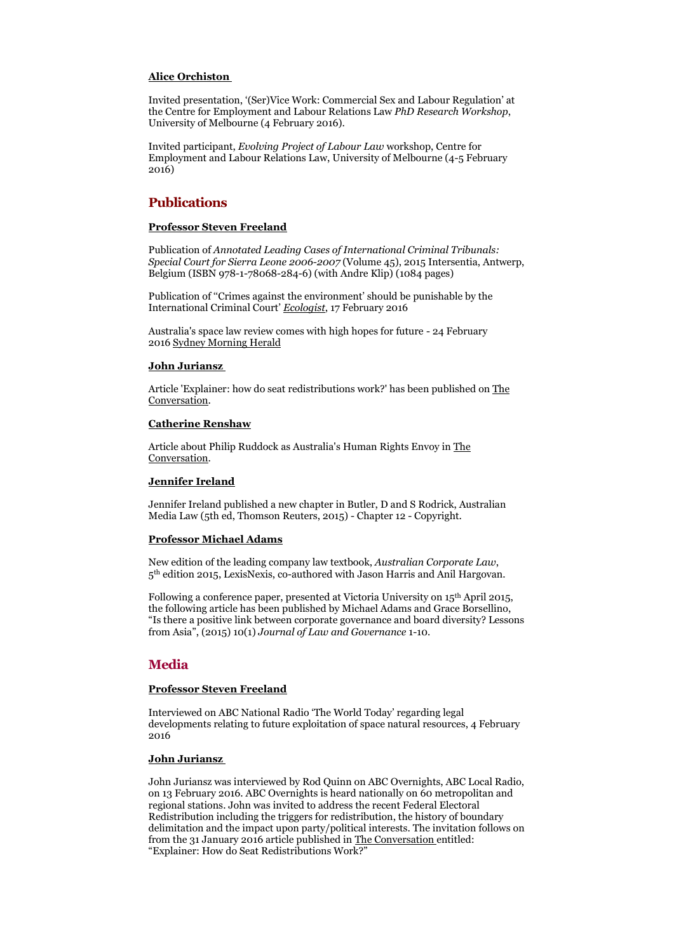#### **Alice Orchiston**

Invited presentation, '(Ser)Vice Work: Commercial Sex and Labour Regulation' at the Centre for Employment and Labour Relations Law *PhD Research Workshop*, University of Melbourne (4 February 2016).

Invited participant, *Evolving Project of Labour Law* workshop, Centre for Employment and Labour Relations Law, University of Melbourne (4-5 February 2016)

# **Publications**

#### **Professor Steven Freeland**

Publication of *Annotated Leading Cases of International Criminal Tribunals: Special Court for Sierra Leone 2006-2007* (Volume 45), 2015 Intersentia, Antwerp, Belgium (ISBN 978-1-78068-284-6) (with Andre Klip) (1084 pages)

Publication of ''Crimes against the environment' should be punishable by the International Criminal Court' *[Ecologist](http://www.theecologist.org/blogs_and_comments/Blogs/2986243/crimes_against_the_environment_should_be_punishable_by_the_international_criminal_court.html)*, 17 February 2016

Australia's space law review comes with high hopes for future - 24 February 2016 [Sydney Morning Herald](http://m.smh.com.au/technology/technology-news/australias-space-law-review-comes-with-high-hopes-for-future-20160223-gn1u5f.html)

## **John Juriansz**

Article 'Explainer: how do seat redistributions work?' has been published on [The](http://theconversation.com/explainer-how-do-seat-redistributions-work-53488)  [Conversation.](http://theconversation.com/explainer-how-do-seat-redistributions-work-53488)

#### **Catherine Renshaw**

Article about Philip Ruddock as Australia's Human Rights Envoy in [The](https://theconversation.com/ruddock-as-human-rights-envoy-dont-scoff-too-soon-54409)  [Conversation.](https://theconversation.com/ruddock-as-human-rights-envoy-dont-scoff-too-soon-54409)

#### **Jennifer Ireland**

Jennifer Ireland published a new chapter in Butler, D and S Rodrick, Australian Media Law (5th ed, Thomson Reuters, 2015) - Chapter 12 - Copyright.

#### **Professor Michael Adams**

New edition of the leading company law textbook, *Australian Corporate Law*, 5 th edition 2015, LexisNexis, co-authored with Jason Harris and Anil Hargovan.

Following a conference paper, presented at Victoria University on 15th April 2015, the following article has been published by Michael Adams and Grace Borsellino, "Is there a positive link between corporate governance and board diversity? Lessons from Asia", (2015) 10(1) *Journal of Law and Governance* 1-10.

# **Media**

## **Professor Steven Freeland**

Interviewed on ABC National Radio 'The World Today' regarding legal developments relating to future exploitation of space natural resources, 4 February 2016

#### **John Juriansz**

John Juriansz was interviewed by Rod Quinn on ABC Overnights, ABC Local Radio, on 13 February 2016. ABC Overnights is heard nationally on 60 metropolitan and regional stations. John was invited to address the recent Federal Electoral Redistribution including the triggers for redistribution, the history of boundary delimitation and the impact upon party/political interests. The invitation follows on from the 31 January 2016 article published in [The Conversation](http://theconversation.com/explainer-how-do-seat-redistributions-work-53488)%20(which%20was%20republished%20on%20www.sbs.com.au) entitled: "Explainer: How do Seat Redistributions Work?"